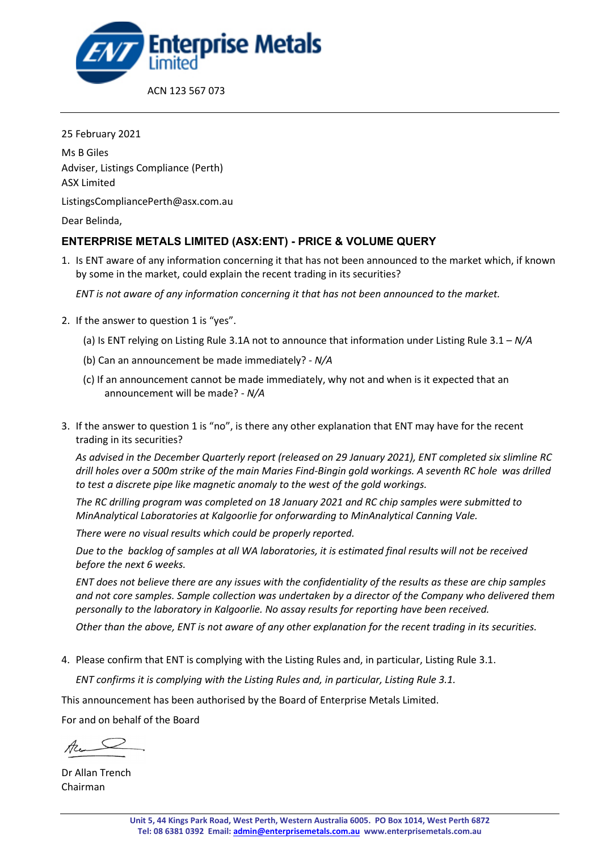

25 February 2021 Ms B Giles Adviser, Listings Compliance (Perth) ASX Limited ListingsCompliancePerth@asx.com.au Dear Belinda,

# **ENTERPRISE METALS LIMITED (ASX:ENT) - PRICE & VOLUME QUERY**

1. Is ENT aware of any information concerning it that has not been announced to the market which, if known by some in the market, could explain the recent trading in its securities?

*ENT is not aware of any information concerning it that has not been announced to the market.*

- 2. If the answer to question 1 is "yes".
	- (a) Is ENT relying on Listing Rule 3.1A not to announce that information under Listing Rule 3.1 *N/A*
	- (b) Can an announcement be made immediately? *N/A*
	- (c) If an announcement cannot be made immediately, why not and when is it expected that an announcement will be made? - *N/A*
- 3. If the answer to question 1 is "no", is there any other explanation that ENT may have for the recent trading in its securities?

*As advised in the December Quarterly report (released on 29 January 2021), ENT completed six slimline RC drill holes over a 500m strike of the main Maries Find-Bingin gold workings. A seventh RC hole was drilled to test a discrete pipe like magnetic anomaly to the west of the gold workings.*

*The RC drilling program was completed on 18 January 2021 and RC chip samples were submitted to MinAnalytical Laboratories at Kalgoorlie for onforwarding to MinAnalytical Canning Vale.*

*There were no visual results which could be properly reported.*

*Due to the backlog of samples at all WA laboratories, it is estimated final results will not be received before the next 6 weeks.*

*ENT does not believe there are any issues with the confidentiality of the results as these are chip samples and not core samples. Sample collection was undertaken by a director of the Company who delivered them personally to the laboratory in Kalgoorlie. No assay results for reporting have been received.*

*Other than the above, ENT is not aware of any other explanation for the recent trading in its securities.*

4. Please confirm that ENT is complying with the Listing Rules and, in particular, Listing Rule 3.1.

*ENT confirms it is complying with the Listing Rules and, in particular, Listing Rule 3.1.*

This announcement has been authorised by the Board of Enterprise Metals Limited.

For and on behalf of the Board

 $A_{\mu}$ 

Dr Allan Trench Chairman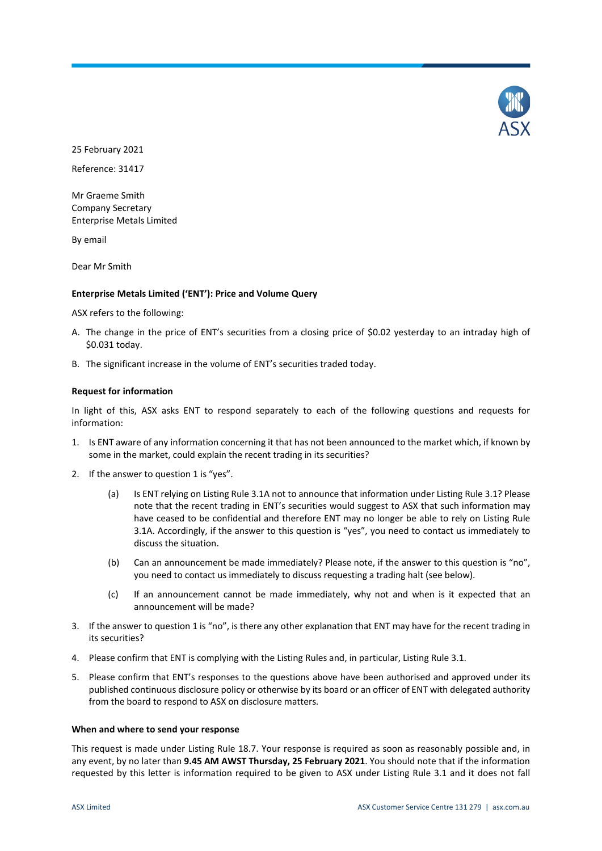

25 February 2021

Reference: 31417

Mr Graeme Smith Company Secretary Enterprise Metals Limited

By email

Dear Mr Smith

# **Enterprise Metals Limited ('ENT'): Price and Volume Query**

ASX refers to the following:

- A. The change in the price of ENT's securities from a closing price of \$0.02 yesterday to an intraday high of \$0.031 today.
- B. The significant increase in the volume of ENT's securities traded today.

# **Request for information**

In light of this, ASX asks ENT to respond separately to each of the following questions and requests for information:

- 1. Is ENT aware of any information concerning it that has not been announced to the market which, if known by some in the market, could explain the recent trading in its securities?
- 2. If the answer to question 1 is "yes".
	- (a) Is ENT relying on Listing Rule 3.1A not to announce that information under Listing Rule 3.1? Please note that the recent trading in ENT's securities would suggest to ASX that such information may have ceased to be confidential and therefore ENT may no longer be able to rely on Listing Rule 3.1A. Accordingly, if the answer to this question is "yes", you need to contact us immediately to discuss the situation.
	- (b) Can an announcement be made immediately? Please note, if the answer to this question is "no", you need to contact us immediately to discuss requesting a trading halt (see below).
	- (c) If an announcement cannot be made immediately, why not and when is it expected that an announcement will be made?
- 3. If the answer to question 1 is "no", is there any other explanation that ENT may have for the recent trading in its securities?
- 4. Please confirm that ENT is complying with the Listing Rules and, in particular, Listing Rule 3.1.
- 5. Please confirm that ENT's responses to the questions above have been authorised and approved under its published continuous disclosure policy or otherwise by its board or an officer of ENT with delegated authority from the board to respond to ASX on disclosure matters.

# **When and where to send your response**

This request is made under Listing Rule 18.7. Your response is required as soon as reasonably possible and, in any event, by no later than **9.45 AM AWST Thursday, 25 February 2021**. You should note that if the information requested by this letter is information required to be given to ASX under Listing Rule 3.1 and it does not fall